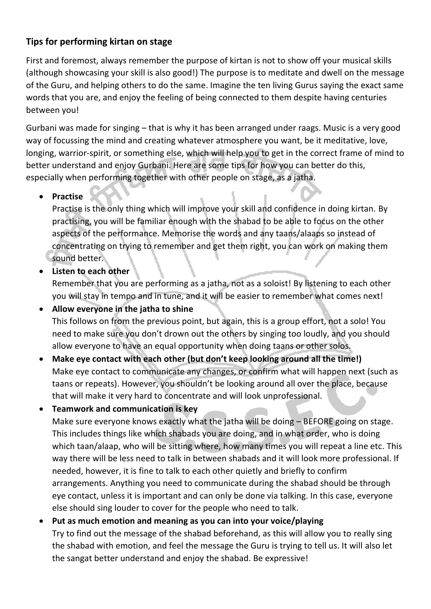## **Tips for performing kirtan on stage**

First and foremost, always remember the purpose of kirtan is not to show off your musical skills (although showcasing your skill is also good!) The purpose is to meditate and dwell on the message of the Guru, and helping others to do the same. Imagine the ten living Gurus saying the exact same words that you are, and enjoy the feeling of being connected to them despite having centuries between you!

Gurbani was made for singing – that is why it has been arranged under raags. Music is a very good way of focussing the mind and creating whatever atmosphere you want, be it meditative, love, longing, warrior-spirit, or something else, which will help you to get in the correct frame of mind to better understand and enjoy Gurbani. Here are some tips for how you can better do this, especially when performing together with other people on stage, as a jatha.

#### **•** Practise

Practise is the only thing which will improve your skill and confidence in doing kirtan. By practising, you will be familiar enough with the shabad to be able to focus on the other aspects of the performance. Memorise the words and any taans/alaaps so instead of concentrating on trying to remember and get them right, you can work on making them sound better.

**Listen to each other**

Remember that you are performing as a jatha, not as a soloist! By listening to each other you will stay in tempo and in tune, and it will be easier to remember what comes next!

 **Allow everyone in the jatha to shine** This follows on from the previous point, but again, this is a group effort, not a solo! You need to make sure you don't drown out the others by singing too loudly, and you should allow everyone to have an equal opportunity when doing taans or other solos.

- **Make eye contact with each other (but don't keep looking around all the time!)** Make eye contact to communicate any changes, or confirm what will happen next (such as taans or repeats). However, you shouldn't be looking around all over the place, because that will make it very hard to concentrate and will look unprofessional.
- **Teamwork and communication is key**

Make sure everyone knows exactly what the jatha will be doing – BEFORE going on stage. This includes things like which shabads you are doing, and in what order, who is doing which taan/alaap, who will be sitting where, how many times you will repeat a line etc. This way there will be less need to talk in between shabads and it will look more professional. If needed, however, it is fine to talk to each other quietly and briefly to confirm arrangements. Anything you need to communicate during the shabad should be through eye contact, unless it is important and can only be done via talking. In this case, everyone else should sing louder to cover for the people who need to talk.

 **Put as much emotion and meaning as you can into your voice/playing** Try to find out the message of the shabad beforehand, as this will allow you to really sing the shabad with emotion, and feel the message the Guru is trying to tell us. It will also let the sangat better understand and enjoy the shabad. Be expressive!